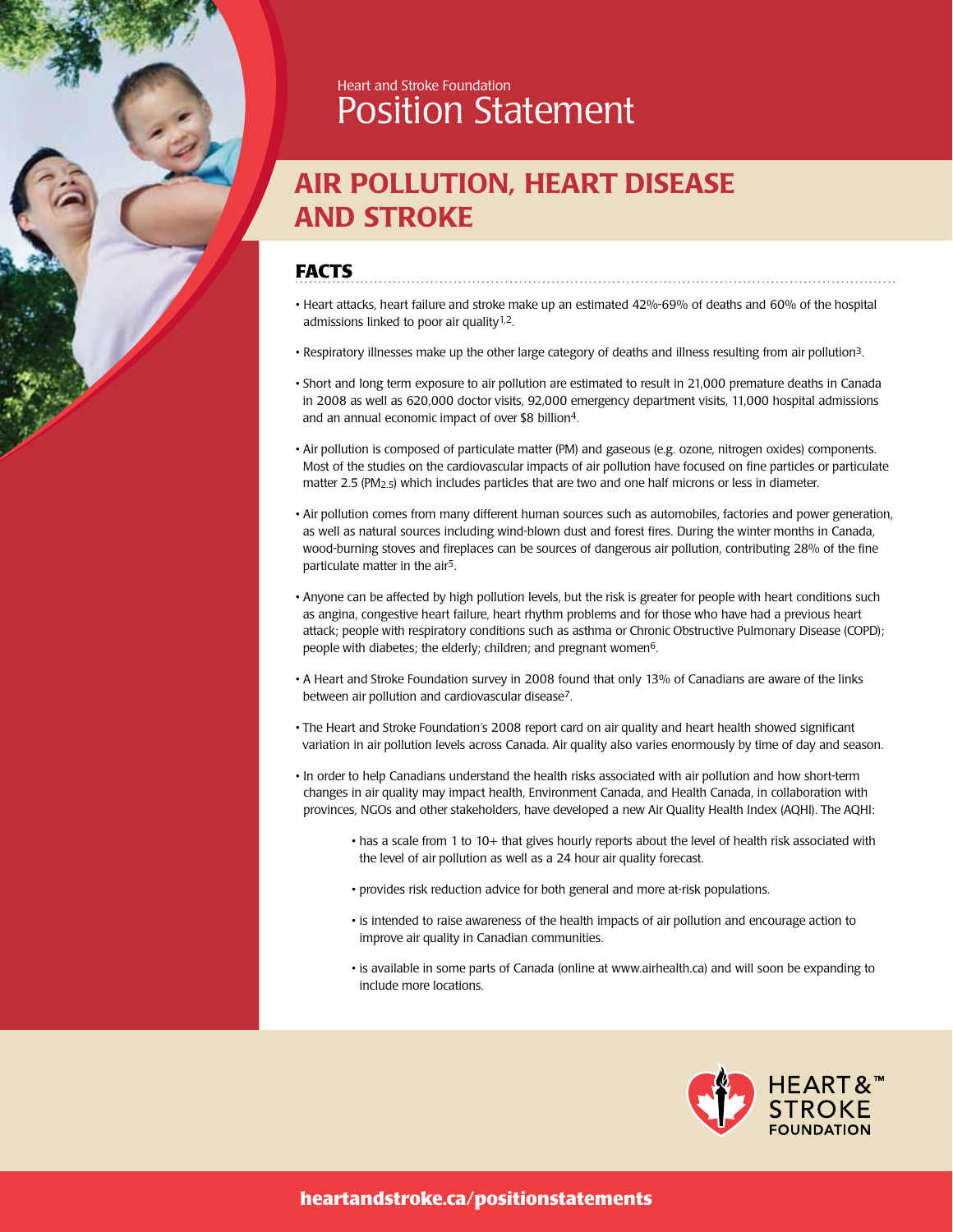

# AIR POLLUTION, HEART DISEASE AND STROKE

### **FACTS**

• Heart attacks, heart failure and stroke make up an estimated 42%-69% of deaths and 60% of the hospital admissions linked to poor air quality<sup>1,2</sup>.

- Respiratory illnesses make up the other large category of deaths and illness resulting from air pollution3.
- Short and long term exposure to air pollution are estimated to result in 21,000 premature deaths in Canada in 2008 as well as 620,000 doctor visits, 92,000 emergency department visits, 11,000 hospital admissions and an annual economic impact of over \$8 billion4.
- Air pollution is composed of particulate matter (PM) and gaseous (e.g. ozone, nitrogen oxides) components. Most of the studies on the cardiovascular impacts of air pollution have focused on fine particles or particulate matter 2.5 (PM2.5) which includes particles that are two and one half microns or less in diameter.
- Air pollution comes from many different human sources such as automobiles, factories and power generation, as well as natural sources including wind-blown dust and forest fires. During the winter months in Canada, wood-burning stoves and fireplaces can be sources of dangerous air pollution, contributing 28% of the fine particulate matter in the air5.
- Anyone can be affected by high pollution levels, but the risk is greater for people with heart conditions such as angina, congestive heart failure, heart rhythm problems and for those who have had a previous heart attack; people with respiratory conditions such as asthma or Chronic Obstructive Pulmonary Disease (COPD); people with diabetes; the elderly; children; and pregnant women<sup>6</sup>.
- A Heart and Stroke Foundation survey in 2008 found that only 13% of Canadians are aware of the links between air pollution and cardiovascular disease7.
- The Heart and Stroke Foundation's 2008 report card on air quality and heart health showed significant variation in air pollution levels across Canada. Air quality also varies enormously by time of day and season.
- In order to help Canadians understand the health risks associated with air pollution and how short-term changes in air quality may impact health, Environment Canada, and Health Canada, in collaboration with provinces, NGOs and other stakeholders, have developed a new Air Quality Health Index (AQHI). The AQHI:
	- has a scale from 1 to 10+ that gives hourly reports about the level of health risk associated with the level of air pollution as well as a 24 hour air quality forecast.
	- provides risk reduction advice for both general and more at-risk populations.
	- is intended to raise awareness of the health impacts of air pollution and encourage action to improve air quality in Canadian communities.
	- is available in some parts of Canada (online at www.airhealth.ca) and will soon be expanding to include more locations.

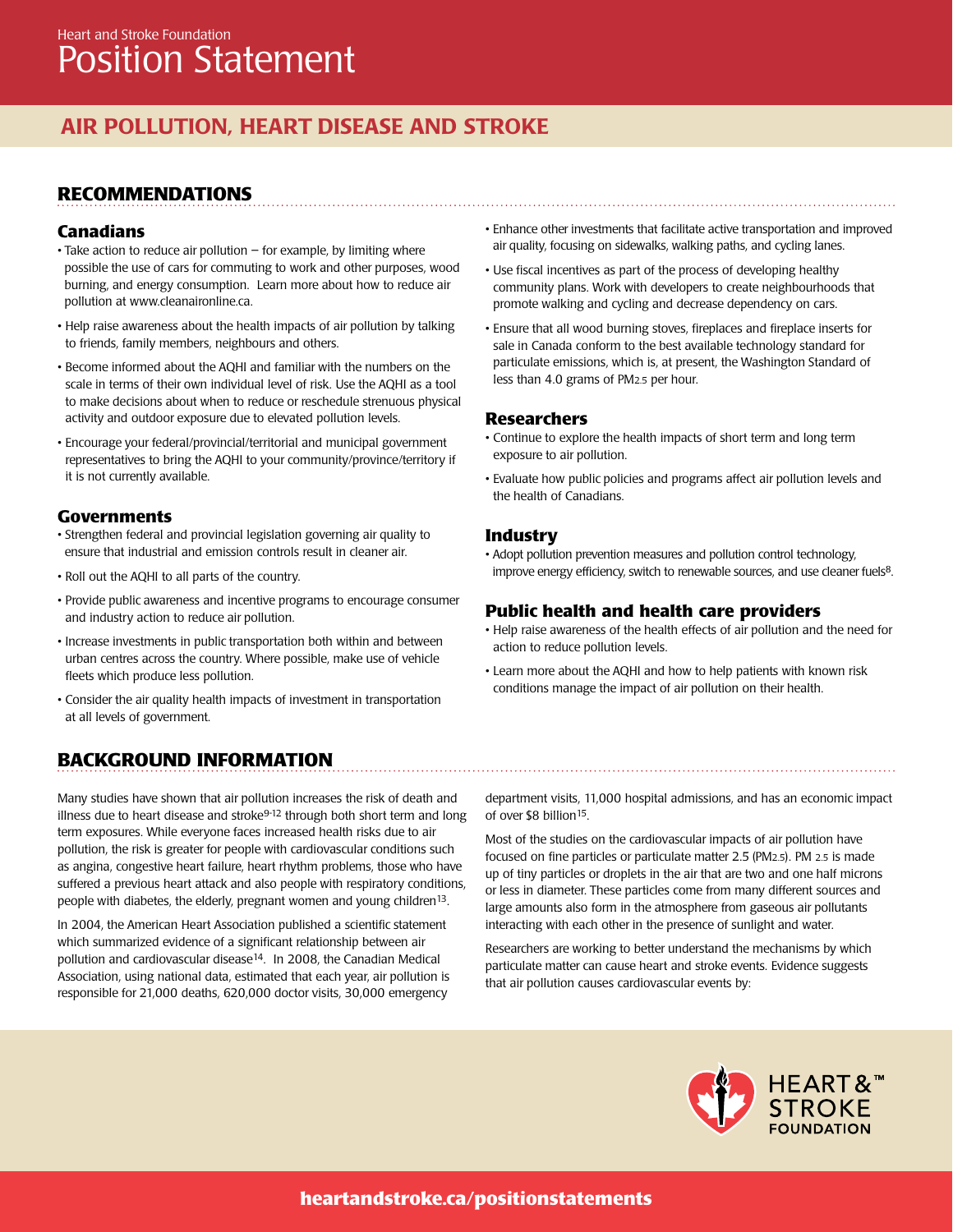## AIR POLLUTION, HEART DISEASE AND STROKE

### **Recommendations**

#### **Canadians**

- Take action to reduce air pollution for example, by limiting where possible the use of cars for commuting to work and other purposes, wood burning, and energy consumption. Learn more about how to reduce air pollution at www.cleanaironline.ca.
- Help raise awareness about the health impacts of air pollution by talking to friends, family members, neighbours and others.
- Become informed about the AQHI and familiar with the numbers on the scale in terms of their own individual level of risk. Use the AQHI as a tool to make decisions about when to reduce or reschedule strenuous physical activity and outdoor exposure due to elevated pollution levels.
- Encourage your federal/provincial/territorial and municipal government representatives to bring the AQHI to your community/province/territory if it is not currently available.

#### **Governments**

- Strengthen federal and provincial legislation governing air quality to ensure that industrial and emission controls result in cleaner air.
- Roll out the AQHI to all parts of the country.
- Provide public awareness and incentive programs to encourage consumer and industry action to reduce air pollution.
- Increase investments in public transportation both within and between urban centres across the country. Where possible, make use of vehicle fleets which produce less pollution.
- Consider the air quality health impacts of investment in transportation at all levels of government.

### **BACKGROUND INFORMATION**

Many studies have shown that air pollution increases the risk of death and illness due to heart disease and stroke<sup>9-12</sup> through both short term and long term exposures. While everyone faces increased health risks due to air pollution, the risk is greater for people with cardiovascular conditions such as angina, congestive heart failure, heart rhythm problems, those who have suffered a previous heart attack and also people with respiratory conditions, people with diabetes, the elderly, pregnant women and young children<sup>13</sup>.

In 2004, the American Heart Association published a scientific statement which summarized evidence of a significant relationship between air pollution and cardiovascular disease<sup>14</sup>. In 2008, the Canadian Medical Association, using national data, estimated that each year, air pollution is responsible for 21,000 deaths, 620,000 doctor visits, 30,000 emergency

- Enhance other investments that facilitate active transportation and improved air quality, focusing on sidewalks, walking paths, and cycling lanes.
- Use fiscal incentives as part of the process of developing healthy community plans. Work with developers to create neighbourhoods that promote walking and cycling and decrease dependency on cars.
- Ensure that all wood burning stoves, fireplaces and fireplace inserts for sale in Canada conform to the best available technology standard for particulate emissions, which is, at present, the Washington Standard of less than 4.0 grams of PM2.5 per hour.

#### **Researchers**

- Continue to explore the health impacts of short term and long term exposure to air pollution.
- Evaluate how public policies and programs affect air pollution levels and the health of Canadians.

#### **Industry**

• Adopt pollution prevention measures and pollution control technology, improve energy efficiency, switch to renewable sources, and use cleaner fuels8.

#### **Public health and health care providers**

- Help raise awareness of the health effects of air pollution and the need for action to reduce pollution levels.
- Learn more about the AQHI and how to help patients with known risk conditions manage the impact of air pollution on their health.

department visits, 11,000 hospital admissions, and has an economic impact of over \$8 billion<sup>15</sup>.

Most of the studies on the cardiovascular impacts of air pollution have focused on fine particles or particulate matter 2.5 (PM2.5). PM 2.5 is made up of tiny particles or droplets in the air that are two and one half microns or less in diameter. These particles come from many different sources and large amounts also form in the atmosphere from gaseous air pollutants interacting with each other in the presence of sunlight and water.

Researchers are working to better understand the mechanisms by which particulate matter can cause heart and stroke events. Evidence suggests that air pollution causes cardiovascular events by:

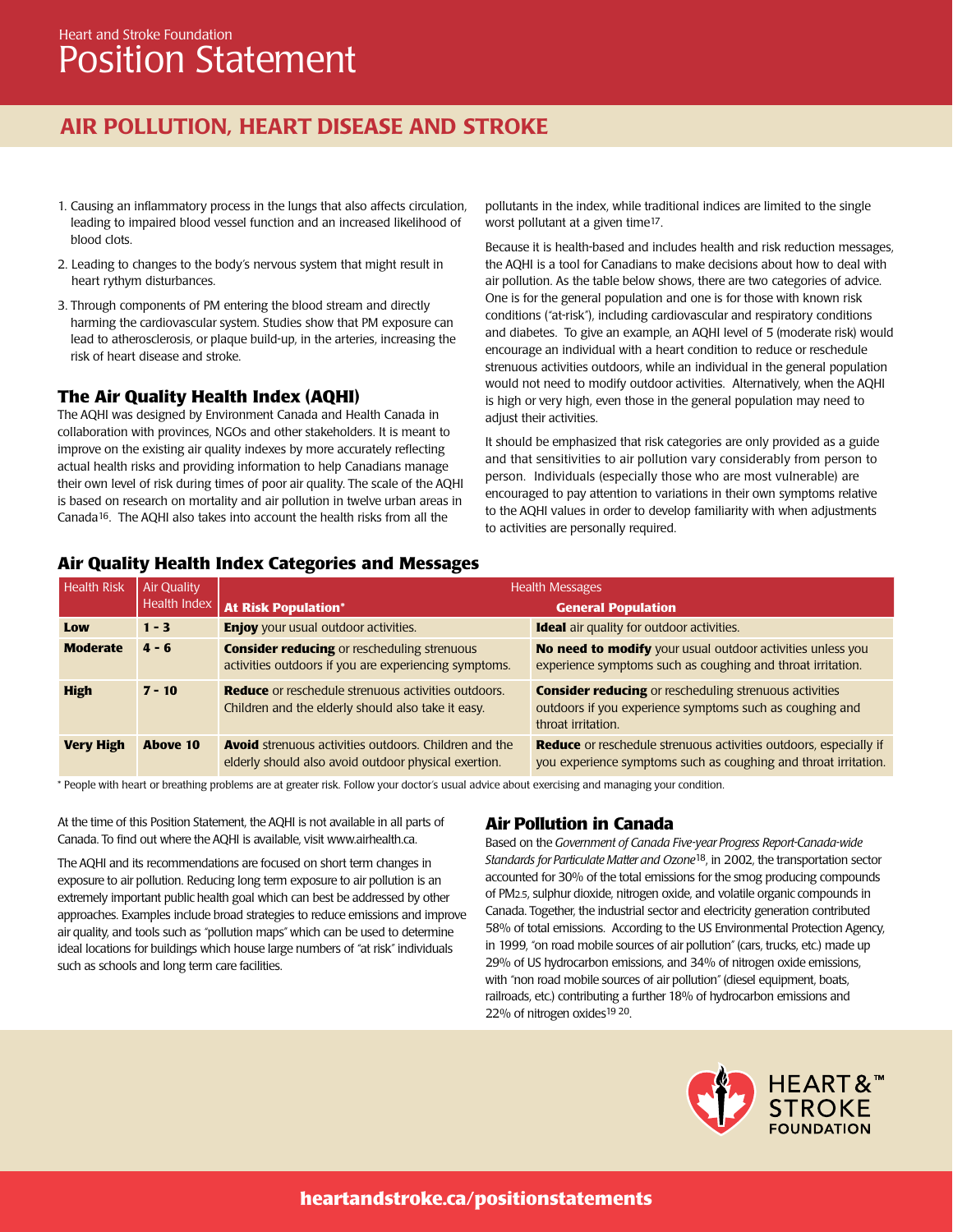## AIR POLLUTION, HEART DISEASE AND STROKE

- 1. Causing an inflammatory process in the lungs that also affects circulation, leading to impaired blood vessel function and an increased likelihood of blood clots.
- 2. Leading to changes to the body's nervous system that might result in heart rythym disturbances.
- 3. Through components of PM entering the blood stream and directly harming the cardiovascular system. Studies show that PM exposure can lead to atherosclerosis, or plaque build-up, in the arteries, increasing the risk of heart disease and stroke.

#### **The Air Quality Health Index (AQHI)**

The AQHI was designed by Environment Canada and Health Canada in collaboration with provinces, NGOs and other stakeholders. It is meant to improve on the existing air quality indexes by more accurately reflecting actual health risks and providing information to help Canadians manage their own level of risk during times of poor air quality. The scale of the AQHI is based on research on mortality and air pollution in twelve urban areas in Canada16. The AQHI also takes into account the health risks from all the

pollutants in the index, while traditional indices are limited to the single worst pollutant at a given time17.

Because it is health-based and includes health and risk reduction messages, the AQHI is a tool for Canadians to make decisions about how to deal with air pollution. As the table below shows, there are two categories of advice. One is for the general population and one is for those with known risk conditions ("at-risk"), including cardiovascular and respiratory conditions and diabetes. To give an example, an AQHI level of 5 (moderate risk) would encourage an individual with a heart condition to reduce or reschedule strenuous activities outdoors, while an individual in the general population would not need to modify outdoor activities. Alternatively, when the AQHI is high or very high, even those in the general population may need to adjust their activities.

It should be emphasized that risk categories are only provided as a guide and that sensitivities to air pollution vary considerably from person to person. Individuals (especially those who are most vulnerable) are encouraged to pay attention to variations in their own symptoms relative to the AQHI values in order to develop familiarity with when adjustments to activities are personally required.

#### **Air Quality Health Index Categories and Messages**

| <b>Health Risk</b> | Air Quality | <b>Health Messages</b>                                                                                               |                                                                                                                                                 |
|--------------------|-------------|----------------------------------------------------------------------------------------------------------------------|-------------------------------------------------------------------------------------------------------------------------------------------------|
|                    |             | Health Index   At Risk Population*                                                                                   | <b>General Population</b>                                                                                                                       |
| Low                | $1 - 3$     | <b>Enjoy</b> your usual outdoor activities.                                                                          | <b>Ideal</b> air quality for outdoor activities.                                                                                                |
| <b>Moderate</b>    | $4 - 6$     | <b>Consider reducing or rescheduling strenuous</b><br>activities outdoors if you are experiencing symptoms.          | No need to modify your usual outdoor activities unless you<br>experience symptoms such as coughing and throat irritation.                       |
| <b>High</b>        | $7 - 10$    | <b>Reduce</b> or reschedule strenuous activities outdoors.<br>Children and the elderly should also take it easy.     | <b>Consider reducing or rescheduling strenuous activities</b><br>outdoors if you experience symptoms such as coughing and<br>throat irritation. |
| <b>Very High</b>   | Above 10    | <b>Avoid</b> strenuous activities outdoors. Children and the<br>elderly should also avoid outdoor physical exertion. | <b>Reduce</b> or reschedule strenuous activities outdoors, especially if<br>you experience symptoms such as coughing and throat irritation.     |

\* People with heart or breathing problems are at greater risk. Follow your doctor's usual advice about exercising and managing your condition.

At the time of this Position Statement, the AQHI is not available in all parts of Canada. To find out where the AQHI is available, visit www.airhealth.ca.

The AQHI and its recommendations are focused on short term changes in exposure to air pollution. Reducing long term exposure to air pollution is an extremely important public health goal which can best be addressed by other approaches. Examples include broad strategies to reduce emissions and improve air quality, and tools such as "pollution maps" which can be used to determine ideal locations for buildings which house large numbers of "at risk" individuals such as schools and long term care facilities.

#### **Air Pollution in Canada**

Based on the *Government of Canada Five-year Progress Report-Canada-wide Standards for Particulate Matter and Ozone*18, in 2002, the transportation sector accounted for 30% of the total emissions for the smog producing compounds of PM2.5, sulphur dioxide, nitrogen oxide, and volatile organic compounds in Canada. Together, the industrial sector and electricity generation contributed 58% of total emissions. According to the US Environmental Protection Agency, in 1999, "on road mobile sources of air pollution" (cars, trucks, etc.) made up 29% of US hydrocarbon emissions, and 34% of nitrogen oxide emissions, with "non road mobile sources of air pollution" (diesel equipment, boats, railroads, etc.) contributing a further 18% of hydrocarbon emissions and 22% of nitrogen oxides<sup>19 20</sup>.